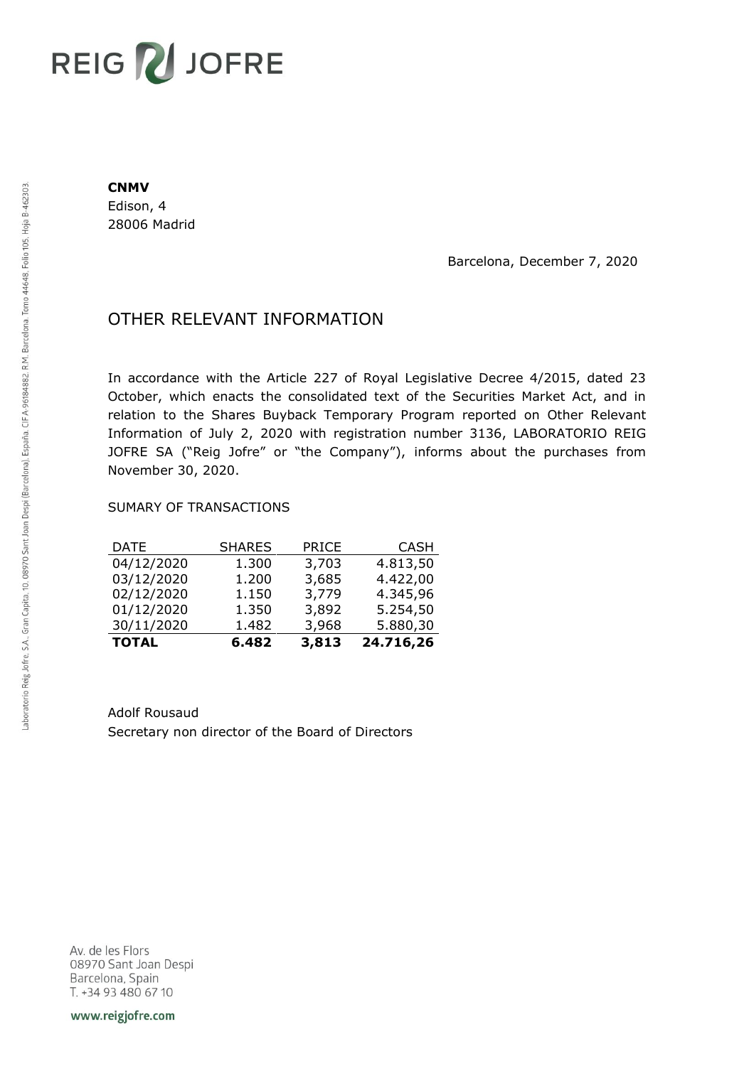## **REIG ZU JOFRE**

## **CNMV**

Edison, 4 28006 Madrid

Barcelona, December 7, 2020

## OTHER RELEVANT INFORMATION

In accordance with the Article 227 of Royal Legislative Decree 4/2015, dated 23 October, which enacts the consolidated text of the Securities Market Act, and in relation to the Shares Buyback Temporary Program reported on Other Relevant Information of July 2, 2020 with registration number 3136, LABORATORIO REIG JOFRE SA ("Reig Jofre" or "the Company"), informs about the purchases from November 30, 2020.

## SUMARY OF TRANSACTIONS

| <b>TOTAL</b> | 6.482         | 3,813 | 24.716,26   |
|--------------|---------------|-------|-------------|
| 30/11/2020   | 1.482         | 3,968 | 5.880,30    |
| 01/12/2020   | 1.350         | 3,892 | 5.254,50    |
| 02/12/2020   | 1.150         | 3,779 | 4.345,96    |
| 03/12/2020   | 1.200         | 3,685 | 4.422,00    |
| 04/12/2020   | 1.300         | 3,703 | 4.813,50    |
| DATE         | <b>SHARES</b> | PRICE | <b>CASH</b> |

Adolf Rousaud Secretary non director of the Board of Directors

Av. de les Flors 08970 Sant Joan Despi Barcelona, Spain T. +34 93 480 67 10

www.reigjofre.com